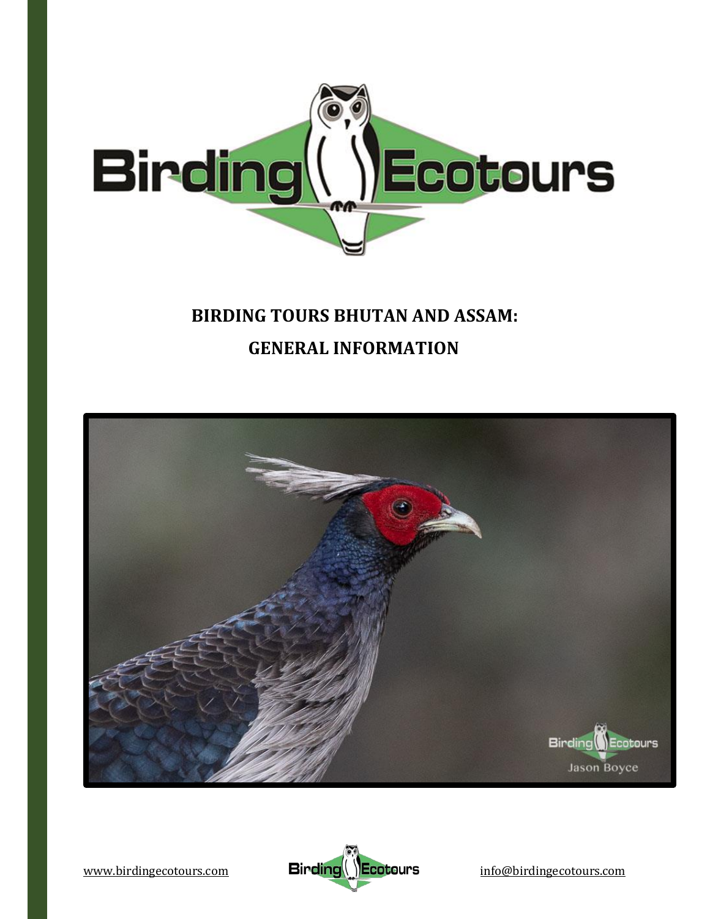

## **BIRDING TOURS BHUTAN AND ASSAM: GENERAL INFORMATION**



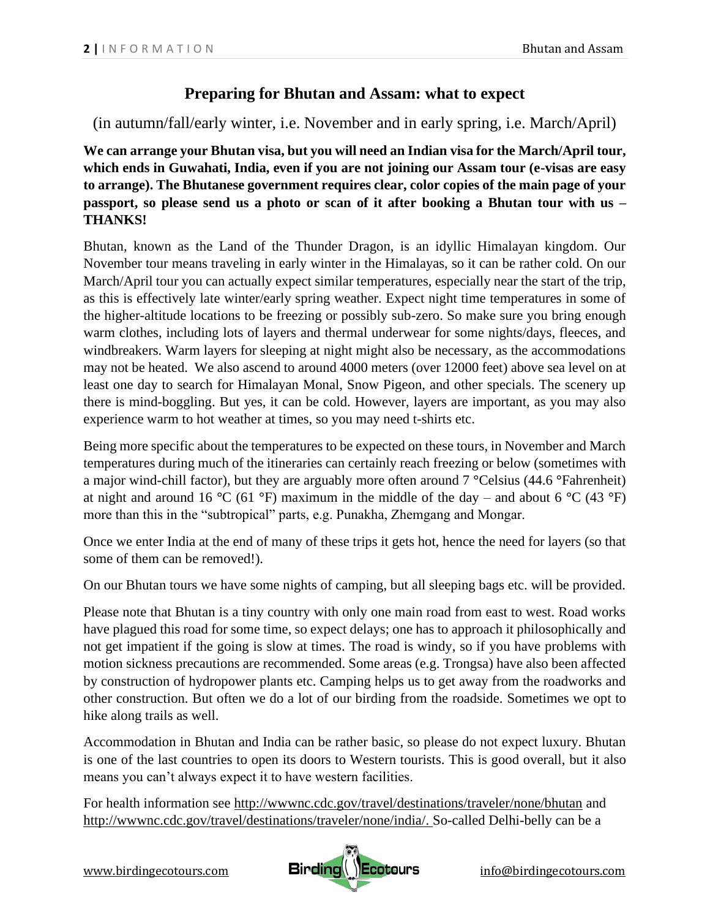## **Preparing for Bhutan and Assam: what to expect**

(in autumn/fall/early winter, i.e. November and in early spring, i.e. March/April)

**We can arrange your Bhutan visa, but you will need an Indian visa for the March/April tour, which ends in Guwahati, India, even if you are not joining our Assam tour (e-visas are easy to arrange). The Bhutanese government requires clear, color copies of the main page of your passport, so please send us a photo or scan of it after booking a Bhutan tour with us – THANKS!**

Bhutan, known as the Land of the Thunder Dragon, is an idyllic Himalayan kingdom. Our November tour means traveling in early winter in the Himalayas, so it can be rather cold. On our March/April tour you can actually expect similar temperatures, especially near the start of the trip, as this is effectively late winter/early spring weather. Expect night time temperatures in some of the higher-altitude locations to be freezing or possibly sub-zero. So make sure you bring enough warm clothes, including lots of layers and thermal underwear for some nights/days, fleeces, and windbreakers. Warm layers for sleeping at night might also be necessary, as the accommodations may not be heated. We also ascend to around 4000 meters (over 12000 feet) above sea level on at least one day to search for Himalayan Monal, Snow Pigeon, and other specials. The scenery up there is mind-boggling. But yes, it can be cold. However, layers are important, as you may also experience warm to hot weather at times, so you may need t-shirts etc.

Being more specific about the temperatures to be expected on these tours, in November and March temperatures during much of the itineraries can certainly reach freezing or below (sometimes with a major wind-chill factor), but they are arguably more often around 7 **°**Celsius (44.6 **°**Fahrenheit) at night and around 16 **°**C (61 **°**F) maximum in the middle of the day – and about 6 **°**C (43 **°**F) more than this in the "subtropical" parts, e.g. Punakha, Zhemgang and Mongar.

Once we enter India at the end of many of these trips it gets hot, hence the need for layers (so that some of them can be removed!).

On our Bhutan tours we have some nights of camping, but all sleeping bags etc. will be provided.

Please note that Bhutan is a tiny country with only one main road from east to west. Road works have plagued this road for some time, so expect delays; one has to approach it philosophically and not get impatient if the going is slow at times. The road is windy, so if you have problems with motion sickness precautions are recommended. Some areas (e.g. Trongsa) have also been affected by construction of hydropower plants etc. Camping helps us to get away from the roadworks and other construction. But often we do a lot of our birding from the roadside. Sometimes we opt to hike along trails as well.

Accommodation in Bhutan and India can be rather basic, so please do not expect luxury. Bhutan is one of the last countries to open its doors to Western tourists. This is good overall, but it also means you can't always expect it to have western facilities.

For health information see<http://wwwnc.cdc.gov/travel/destinations/traveler/none/bhutan> and [http://wwwnc.cdc.gov/travel/destinations/traveler/none/india/.](http://wwwnc.cdc.gov/travel/destinations/traveler/none/india/) So-called Delhi-belly can be a